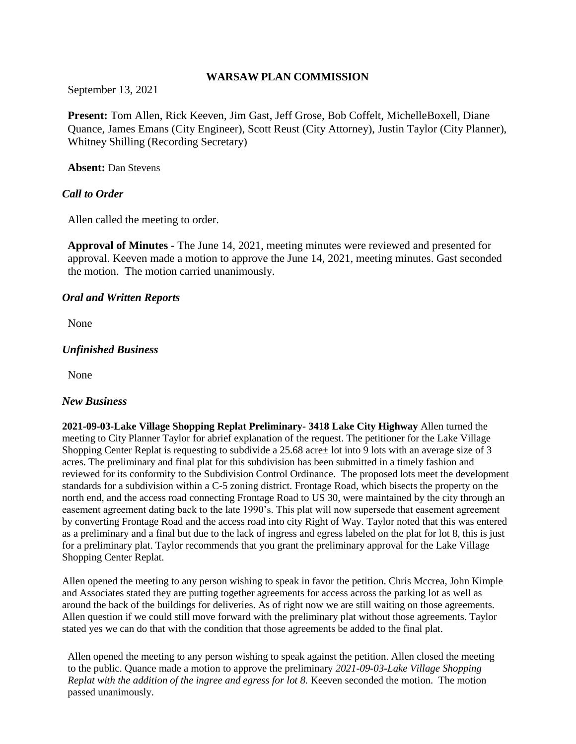#### **WARSAW PLAN COMMISSION**

September 13, 2021

**Present:** Tom Allen, Rick Keeven, Jim Gast, Jeff Grose, Bob Coffelt, MichelleBoxell, Diane Quance, James Emans (City Engineer), Scott Reust (City Attorney), Justin Taylor (City Planner), Whitney Shilling (Recording Secretary)

**Absent:** Dan Stevens

## *Call to Order*

Allen called the meeting to order.

**Approval of Minutes -** The June 14, 2021, meeting minutes were reviewed and presented for approval. Keeven made a motion to approve the June 14, 2021, meeting minutes. Gast seconded the motion. The motion carried unanimously.

#### *Oral and Written Reports*

None

## *Unfinished Business*

None

#### *New Business*

**2021-09-03-Lake Village Shopping Replat Preliminary- 3418 Lake City Highway** Allen turned the meeting to City Planner Taylor for abrief explanation of the request. The petitioner for the Lake Village Shopping Center Replat is requesting to subdivide a 25.68 acre± lot into 9 lots with an average size of 3 acres. The preliminary and final plat for this subdivision has been submitted in a timely fashion and reviewed for its conformity to the Subdivision Control Ordinance. The proposed lots meet the development standards for a subdivision within a C-5 zoning district. Frontage Road, which bisects the property on the north end, and the access road connecting Frontage Road to US 30, were maintained by the city through an easement agreement dating back to the late 1990's. This plat will now supersede that easement agreement by converting Frontage Road and the access road into city Right of Way. Taylor noted that this was entered as a preliminary and a final but due to the lack of ingress and egress labeled on the plat for lot 8, this is just for a preliminary plat. Taylor recommends that you grant the preliminary approval for the Lake Village Shopping Center Replat.

Allen opened the meeting to any person wishing to speak in favor the petition. Chris Mccrea, John Kimple and Associates stated they are putting together agreements for access across the parking lot as well as around the back of the buildings for deliveries. As of right now we are still waiting on those agreements. Allen question if we could still move forward with the preliminary plat without those agreements. Taylor stated yes we can do that with the condition that those agreements be added to the final plat.

Allen opened the meeting to any person wishing to speak against the petition. Allen closed the meeting to the public. Quance made a motion to approve the preliminary *2021-09-03-Lake Village Shopping Replat with the addition of the ingree and egress for lot 8.* Keeven seconded the motion. The motion passed unanimously.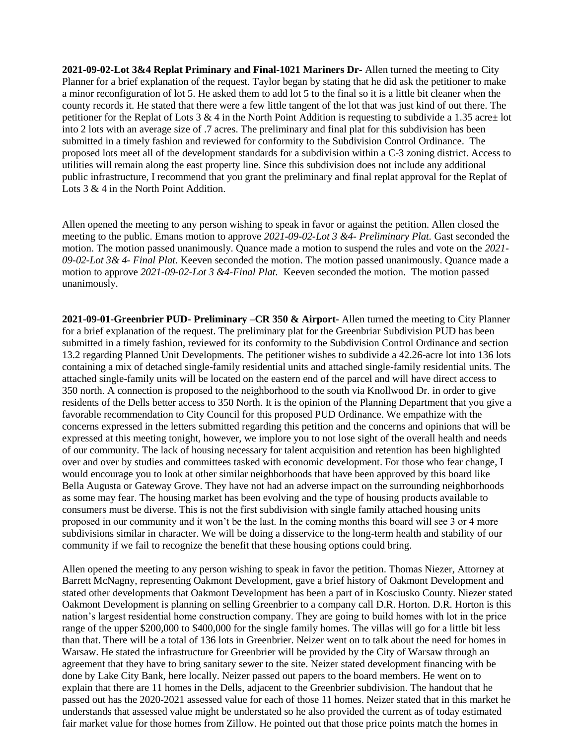**2021-09-02-Lot 3&4 Replat Priminary and Final-1021 Mariners Dr-** Allen turned the meeting to City Planner for a brief explanation of the request. Taylor began by stating that he did ask the petitioner to make a minor reconfiguration of lot 5. He asked them to add lot 5 to the final so it is a little bit cleaner when the county records it. He stated that there were a few little tangent of the lot that was just kind of out there. The petitioner for the Replat of Lots 3 & 4 in the North Point Addition is requesting to subdivide a 1.35 acre± lot into 2 lots with an average size of .7 acres. The preliminary and final plat for this subdivision has been submitted in a timely fashion and reviewed for conformity to the Subdivision Control Ordinance. The proposed lots meet all of the development standards for a subdivision within a C-3 zoning district. Access to utilities will remain along the east property line. Since this subdivision does not include any additional public infrastructure, I recommend that you grant the preliminary and final replat approval for the Replat of Lots 3 & 4 in the North Point Addition.

Allen opened the meeting to any person wishing to speak in favor or against the petition. Allen closed the meeting to the public. Emans motion to approve *2021-09-02-Lot 3 &4- Preliminary Plat.* Gast seconded the motion. The motion passed unanimously. Quance made a motion to suspend the rules and vote on the *2021- 09-02-Lot 3& 4- Final Plat*. Keeven seconded the motion. The motion passed unanimously. Quance made a motion to approve *2021-09-02-Lot 3 &4-Final Plat.* Keeven seconded the motion. The motion passed unanimously.

**2021-09-01-Greenbrier PUD- Preliminary –CR 350 & Airport-** Allen turned the meeting to City Planner for a brief explanation of the request. The preliminary plat for the Greenbriar Subdivision PUD has been submitted in a timely fashion, reviewed for its conformity to the Subdivision Control Ordinance and section 13.2 regarding Planned Unit Developments. The petitioner wishes to subdivide a 42.26-acre lot into 136 lots containing a mix of detached single-family residential units and attached single-family residential units. The attached single-family units will be located on the eastern end of the parcel and will have direct access to 350 north. A connection is proposed to the neighborhood to the south via Knollwood Dr. in order to give residents of the Dells better access to 350 North. It is the opinion of the Planning Department that you give a favorable recommendation to City Council for this proposed PUD Ordinance. We empathize with the concerns expressed in the letters submitted regarding this petition and the concerns and opinions that will be expressed at this meeting tonight, however, we implore you to not lose sight of the overall health and needs of our community. The lack of housing necessary for talent acquisition and retention has been highlighted over and over by studies and committees tasked with economic development. For those who fear change, I would encourage you to look at other similar neighborhoods that have been approved by this board like Bella Augusta or Gateway Grove. They have not had an adverse impact on the surrounding neighborhoods as some may fear. The housing market has been evolving and the type of housing products available to consumers must be diverse. This is not the first subdivision with single family attached housing units proposed in our community and it won't be the last. In the coming months this board will see 3 or 4 more subdivisions similar in character. We will be doing a disservice to the long-term health and stability of our community if we fail to recognize the benefit that these housing options could bring.

Allen opened the meeting to any person wishing to speak in favor the petition. Thomas Niezer, Attorney at Barrett McNagny, representing Oakmont Development, gave a brief history of Oakmont Development and stated other developments that Oakmont Development has been a part of in Kosciusko County. Niezer stated Oakmont Development is planning on selling Greenbrier to a company call D.R. Horton. D.R. Horton is this nation's largest residential home construction company. They are going to build homes with lot in the price range of the upper \$200,000 to \$400,000 for the single family homes. The villas will go for a little bit less than that. There will be a total of 136 lots in Greenbrier. Neizer went on to talk about the need for homes in Warsaw. He stated the infrastructure for Greenbrier will be provided by the City of Warsaw through an agreement that they have to bring sanitary sewer to the site. Neizer stated development financing with be done by Lake City Bank, here locally. Neizer passed out papers to the board members. He went on to explain that there are 11 homes in the Dells, adjacent to the Greenbrier subdivision. The handout that he passed out has the 2020-2021 assessed value for each of those 11 homes. Neizer stated that in this market he understands that assessed value might be understated so he also provided the current as of today estimated fair market value for those homes from Zillow. He pointed out that those price points match the homes in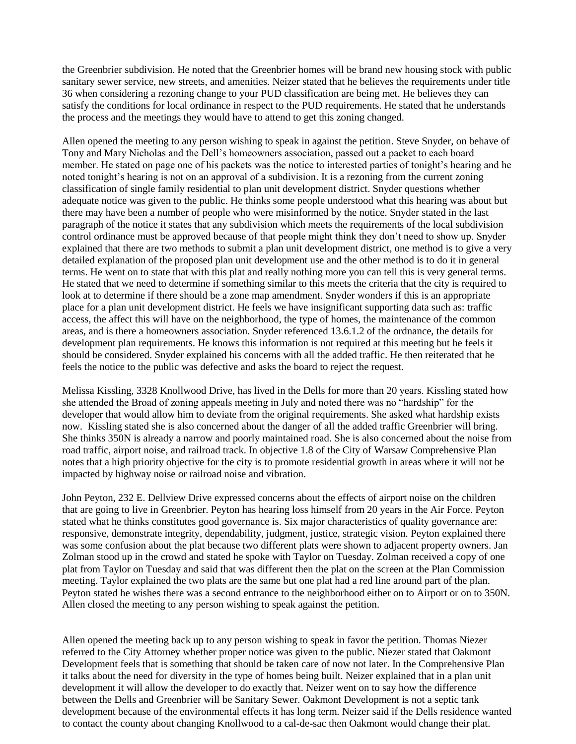the Greenbrier subdivision. He noted that the Greenbrier homes will be brand new housing stock with public sanitary sewer service, new streets, and amenities. Neizer stated that he believes the requirements under title 36 when considering a rezoning change to your PUD classification are being met. He believes they can satisfy the conditions for local ordinance in respect to the PUD requirements. He stated that he understands the process and the meetings they would have to attend to get this zoning changed.

Allen opened the meeting to any person wishing to speak in against the petition. Steve Snyder, on behave of Tony and Mary Nicholas and the Dell's homeowners association, passed out a packet to each board member. He stated on page one of his packets was the notice to interested parties of tonight's hearing and he noted tonight's hearing is not on an approval of a subdivision. It is a rezoning from the current zoning classification of single family residential to plan unit development district. Snyder questions whether adequate notice was given to the public. He thinks some people understood what this hearing was about but there may have been a number of people who were misinformed by the notice. Snyder stated in the last paragraph of the notice it states that any subdivision which meets the requirements of the local subdivision control ordinance must be approved because of that people might think they don't need to show up. Snyder explained that there are two methods to submit a plan unit development district, one method is to give a very detailed explanation of the proposed plan unit development use and the other method is to do it in general terms. He went on to state that with this plat and really nothing more you can tell this is very general terms. He stated that we need to determine if something similar to this meets the criteria that the city is required to look at to determine if there should be a zone map amendment. Snyder wonders if this is an appropriate place for a plan unit development district. He feels we have insignificant supporting data such as: traffic access, the affect this will have on the neighborhood, the type of homes, the maintenance of the common areas, and is there a homeowners association. Snyder referenced 13.6.1.2 of the ordnance, the details for development plan requirements. He knows this information is not required at this meeting but he feels it should be considered. Snyder explained his concerns with all the added traffic. He then reiterated that he feels the notice to the public was defective and asks the board to reject the request.

Melissa Kissling, 3328 Knollwood Drive, has lived in the Dells for more than 20 years. Kissling stated how she attended the Broad of zoning appeals meeting in July and noted there was no "hardship" for the developer that would allow him to deviate from the original requirements. She asked what hardship exists now. Kissling stated she is also concerned about the danger of all the added traffic Greenbrier will bring. She thinks 350N is already a narrow and poorly maintained road. She is also concerned about the noise from road traffic, airport noise, and railroad track. In objective 1.8 of the City of Warsaw Comprehensive Plan notes that a high priority objective for the city is to promote residential growth in areas where it will not be impacted by highway noise or railroad noise and vibration.

John Peyton, 232 E. Dellview Drive expressed concerns about the effects of airport noise on the children that are going to live in Greenbrier. Peyton has hearing loss himself from 20 years in the Air Force. Peyton stated what he thinks constitutes good governance is. Six major characteristics of quality governance are: responsive, demonstrate integrity, dependability, judgment, justice, strategic vision. Peyton explained there was some confusion about the plat because two different plats were shown to adjacent property owners. Jan Zolman stood up in the crowd and stated he spoke with Taylor on Tuesday. Zolman received a copy of one plat from Taylor on Tuesday and said that was different then the plat on the screen at the Plan Commission meeting. Taylor explained the two plats are the same but one plat had a red line around part of the plan. Peyton stated he wishes there was a second entrance to the neighborhood either on to Airport or on to 350N. Allen closed the meeting to any person wishing to speak against the petition.

Allen opened the meeting back up to any person wishing to speak in favor the petition. Thomas Niezer referred to the City Attorney whether proper notice was given to the public. Niezer stated that Oakmont Development feels that is something that should be taken care of now not later. In the Comprehensive Plan it talks about the need for diversity in the type of homes being built. Neizer explained that in a plan unit development it will allow the developer to do exactly that. Neizer went on to say how the difference between the Dells and Greenbrier will be Sanitary Sewer. Oakmont Development is not a septic tank development because of the environmental effects it has long term. Neizer said if the Dells residence wanted to contact the county about changing Knollwood to a cal-de-sac then Oakmont would change their plat.